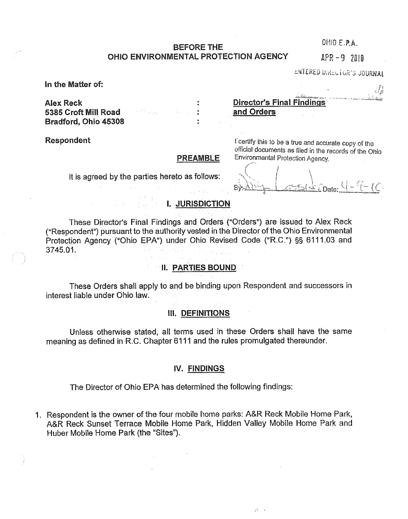# **BEFORE THE** CHIO E.P.A. **OHIO ENVIRONMENTAL PROTECTION AGENCY** APR -9 2010

**LWIERED DIRLLIGA'S JOURNAL** 

**In the Matter of:**

**5385 Croft Mill Road .** .•. **and Orders Bradford, Ohio 45308**

**Respondent**

## **PREAMBLE**

**It is** agreed by the parties hereto as follows:

**Alex Reek : Director% Final Findings.**

I certify this to be a true and accurate copy of the official documents as flied in the records of the Ohio Environmental Protection Agency.

'I  $\mathcal{L}$ Date:  $\mathcal{L} = \mathcal{L} - \mathcal{L}$ 

#### an Silversia.<br>Ngjarje **I. JURISDICTION**

These Director's Final Findings and Orders ("Orders") are issued to Alex Reck ("Respondent") pursuant to the authority vested in the Director of the Ohio Environmental Protection Agency ("Ohio EPA") under Ohio Revised Code ("R.C.") §§ 6111.03 and 3745.01.

# **11. PARTIES BOUND**

These Orders shall apply to and be binding upon Respondent and successors in interest liable under Ohio law.

# **III. DEFINITIONS**

Unless otherwise stated, all terms used in these Orders shall have the same meaning as defined in R.C. Chapter 6111 and the rules promulgated thereunder.

#### **IV. FINDINGS**

The Director of Ohio EPA has determined the following findings:

1. Respondent is the owner of the four mobile home parks: A&R Reck Mobile Home Park, A&R Reck Sunset Terrace Mobile Home Park, Hidden Valley Mobile Home Park and Huber Mobile Home Park (the "Sites").

 $33 - 1$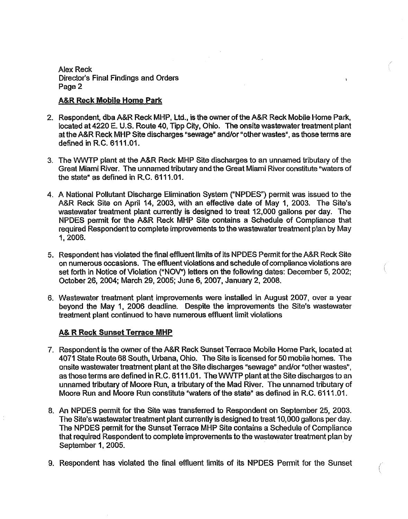## **A&R Rock Mobile Home Park**

- 2. Respondent, dba A&R Reek MHP, Ltd., is the owner of the A&R Reck Mobile Home Park, located at 4220 E. U.S. Route 40, Tipp City, Ohio. The onsite wastewater treatment plant at the A&R Reck MHP Site discharges "sewage" and/or "other wastes", as those terms are defined in R.C. 6111.01.
- 3. The WWTP plant at the A&R Reck MHP Site discharges to an unnamed tributary of the Great Miami River. The unnamed tributary and the Great Miami River constitute "waters of the state" as defined in R.C. 6111.01.
- 4. A National Pollutant Discharge Elimination System ("NPDES") permit was issued to the A&R Reck Site on April 14, 2003, with an effective date of May 1, 2003. The Site's wastewater treatment plant currently is designed to treat 12,000 gallons per day. The NPDES permit for the A&R Reck MHP Site contains a Schedule of Compliance that required Respondent to complete improvements to the wastewater treatment plan by May 1, 2006.
- 5. Respondent has violated the final effluent limits of its NPDES Permit for the A&R Reck Site on numerous occasions. The effluent violations and schedule of compliance violations are set forth in Notice of Violation ("NOV") letters on the following dates: December 5, 2002; October 26, 2004; March 29, 2005; June 6, 2007, January 2, 2008.
- 6. Wastewater treatment plant improvements were installed in August 2007, over a year beyond the May 1, 2006 deadline. Despite the improvements the Site's wastewater treatment plant continued to have numerous effluent limit violations

# **A& R Reek Sunset Terrace MHP**

- 7. Respondent is the owner of the A&R Reck Sunset Terrace Mobile Home Park, located at 4071 State Route 68 South, Urbana, Ohio. The Site is licensed for 50 mobile homes. The onsite wastewater treatment plant at the Site discharges "sewage" and/or "other wastes", as those terms are defined in R.C. 6111.01. The WWTP plant at the Site discharges to an unnamed tributary of Moore Run, a tributary of the Mad River. The unnamed tributary of Moore Run and Moore Run constitute "waters of the state" as defined in R. C. 6111.01.
- B. An NPDES permit for the Site was transferred to Respondent on September 25, 2003. The Site's wastewater treatment plant currently is designed to treat 10,000 gallons per day. The NPDES permit for the Sunset Terrace MHP Site contains a Schedule of Compliance that required Respondent to complete improvements to the wastewater treatment plan by September 1, 2005.
- 9. Respondent has violated the final effluent limits of its NPDES Permit for the Sunset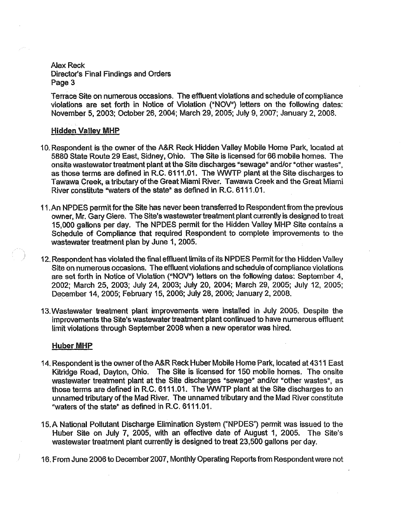Terrace Site on numerous occasions. The effluent violations and schedule of compliance violations are set forth in Notice of Violation ("NOV") letters on the following dates: November 5, 2003; October 26, 2004; March 29, 2005; July 9, 2007; January 2, 2008.

### **Hidden Valley MHP**

- 10.Respondent is the owner of the A&R Reck. Hidden Valley Mobile Home Park, located at 5880 State Route 29 East, Sidney, Ohio. The Site is licensed for 66 mobile homes. The onsite wastewater treatment plant at the Site discharges "sewage" and/or "other wastes", as those terms are defined in R.C, 6111.01, The WWTP plant at the Site discharges to Tawawa Creek, a tributary of the Great Miami River. Tawawa Creek and the Great Miami River constitute "waters of the state" as defined in R.C. 6111.01.
- 11.An NPDES permit for the Site has never been transferred to Respondent from the previous owner, Mr. Gary Giere. The Site's wastewater treatment plant currently is designed to treat 15,000 gallons per day. The NPDES permit for the Hidden Valley MHP Site contains a Schedule of Compliance that required Respondent to complete improvements to the wastewater treatment plan by June 1, 2005.
- 12.Respondent has violated the final effluent limits of its NPDES Permit for the Hidden Valley Site on numerous occasions. The effluent violations and schedule of compliance violations are set forth in Notice of Violation ("NOV") letters on the following dates: September 4, 2002; March 25, 2003; July 24, 2003; July 20, 2004; March 29, 2005; July 12, 2005; December 14, 2005; February 15, 2006; July 28, 2006; January 2, 2008.
- 13,Wastewater treatment plant improvements were installed in July 2005. Despite the improvements the Site's wastewater treatment plant continued to have numerous effluent limit violations through September 2008 when a new operator was hired.

#### **Huber MHP**

- 14.Respondent is the owner of the A&R Reck Huber Mobile Home Park, located at 4311 East Kitridge Road, Dayton, Ohio. The Site is licensed for 150 mobile homes. The onsite wastewater treatment plant at the Site discharges "sewage" and/or "other wastes", as those terms are defined in R.C. 6111.01. The WWTP plant at the Site discharges to an unnamed tributary of the Mad River. The unnamed tributary and the Mad River constitute "waters of the state" as defined in R.C. 6111.01.
- 15.A National Pollutant Discharge Elimination System ("NPDES") permit was issued to the Huber Site on July 7, 2005, with an effective date of August 1, 2005. The Site's wastewater treatment plant currently is designed to treat 23,500 gallons per day.
- 16.From June 2006 to December 2007, Monthly Operating Reports from Respondent were not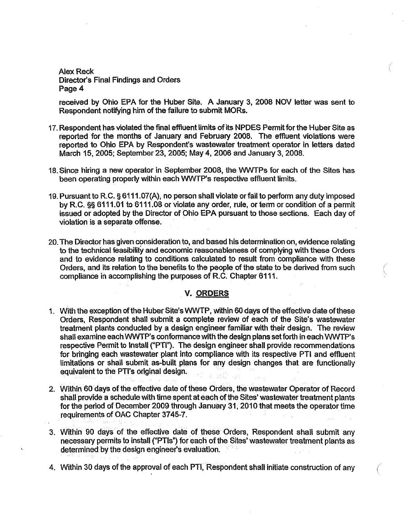received by Ohio EPA for the Huber Site. A January 3, 2008 NOV letter was sent to Respondent notifying him of the failure to submit MORs.

- 17.Respondent has violated the final effluent limits of its **NPDES** Permit for the Huber Site as reported for the months of January and February 2008. The effluent violations were reported to Ohio EPA by Respondent's wastewater treatment operator in letters dated March 15, 2005; September 23, 2005; May 4, 2006 and January 3, 2008.
- 18.Since hiring a new operator in September 2008, the WWTPs for each of the Sites has been operating properly within each WWTP's respective effluent limits.
- 19.Pursuant to R.C. § 6111.07(A), no person shall violate or fail to perform any duty imposed by R.C. § 6111.01 to 6111.08 or violate any order, rule, or term or condition of a permit issued or adopted by the Director of Ohio EPA pursuant to those sections. Each day of violation is a separate offense.
- 20.The Director has given consideration to, and based his determination on, evidence relating to the technical feasibility and economic reasonableness of complying with these Orders and to evidence relating to conditions calculated to result from compliance with these Orders, and its relation to the benefits to the people of the state to be derived from such compliance in accomplishing the purposes of R.C. Chapter 6111.

#### V. ORDERS

- 1. With the exception of the Huber Site's WWTP, within 60 days of the effective date of these Orders, Respondent shall submit a complete review of each of the Site's wastewater treatment plants conducted by a design engineer familiar with their design. The review shall examine each WWTP's conformance with the design plans set forth in each WWTP's respective Permit to Install ("PTl", The design engineer shall provide recommendations for bringing each wastewater plant into compliance with its respective PTI and effluent limitations or shall submit as-built plans for any design changes that are functionally equivalent to the PTI's original design
- 2 Within 60 days of the effective date of these Orders, the wastewater Operator of Record shall provide a schedule with time spent at each of the Sites' wastewater treatment plants for the period of December 2009 through January 31, 2010 that meets the operator time requirements of OAC Chapter 3745-7.
- 3 Within 90 days of the effective date of these Orders, Respondent shall submit any necessary permits to install ("PTIs") for each of the Sites' wastewater treatment plants as determined by the design engineer's evaluation
- 4. Within 30 days of the approval of each PT1, Respondent shall initiate construction of any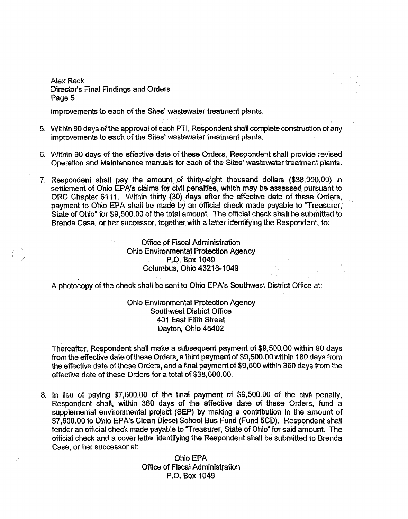improvements to each of the Sites' wastewater treatment plants.

- 5. Within 90 days of the approval of each PTI, Respondent shall complete construction of any improvements to each of the Sites' wastewater treatment plants.
- 6. Within 90 days of the effective date of these Orders. Respondent shall provide revised Operation and Maintenance manuals for each of the Sites' wastewater treatment plants.
- 7. Respondent shall pay the amount of thirty-eight thousand dollars (\$3S,000.00) in settlement of Ohio EPA's claims for civil penalties, which may be assessed pursuant to ORG Chapter 6111. Within thirty (30) days after the effective date of these Orders, payment to Ohio EPA shall be made by an official check made payable to "Treasurer, State of Ohio" for \$9,500.00 of the total amount. The official check shall be submitted to Brenda Case, or her successor, together with a letter identifying the Respondent, to:

• Office of Fiscal Administration Ohio Environmental Protection Agency P.O. Box 1049 Columbus, Ohio..43216-1 049 ..

A photocopy of the check shall be sent to Ohio EPA's Southwest District Office, at:

Ohio Environmental Protection Agency Southwest District Office 401 East Fifth Street Dayton, Ohio 45402

Thereafter, Respondent shall make a subsequent payment of \$9,500.00 within 90 days from the effective date of these Orders, a third payment of \$9,500.00 within 180 days from the effective date of these Orders, and a final payment of \$9,500 within 360 days from the effective date of these Orders for a total of \$38,000.00.

6. In lieu of paying \$7,600.00 of the final payment of \$9,500.00 of the civil penalty, Respondent shall, within 360 days of the effective date of these Orders, fund a supplemental environmental project (SEP) by making a contribution in the amount of \$7,600.00 to Ohio EPA's Clean Diesel School Bus Fund (Fund 5CD). Respondent shall tender an official check made payable to 'Treasurer, State of Ohio" for said amount. The official check and a cover letter identifying the Respondent shall be submitted to Brenda Case, or her successor at:

> Ohio EPA Office of Fiscal Administration P.O. Box 1049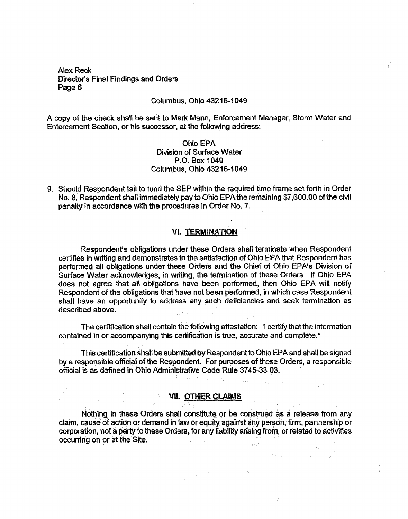$\label{eq:2.1} \mathcal{A}=\mathcal{R}^{H}(\mathcal{A}^{H})\otimes\mathcal{A}^{H}(\mathcal{A}^{H})$ 

#### Columbus, Ohio 43216-1049

A copy of the check shall be sent to Mark Mann, Enforcement Manager, Storm Water and Enforcement Section, or his successor, at the following address:

# Ohio EPA Division of Surface Water P.O. Box 1049 Columbus, Ohio 43216-1049

9. Should Respondent fail to fund the SEP within the required time frame set forth in Order No. 8, Respondent shall immediately pay to Ohio EPAthë remaining \$7,600.00 of the civil penalty in accordance with the procedures in Order No. 7.

#### **VI. TERMINATION**

Respondent's obligations under these Orders shall terminate when Respondent certifies in writing and demonstrates to the satisfaction of Ohio EPA that Respondent has performed all obligations under these Orders and the Chief of Ohio EPA's Division of Surface Water acknowledges, in writing, the termination of these Orders. If Ohio EPA does not agree that all obligations have been performed, then Ohio EPA will notify Respondent of the obligations that have not been performed, in which case. Respondent shall have an opportunity to address any such deficiencies and seek termination as described above.

The certification shall contain the following attestation: "I certify that the information contained in or accompanying this certification is true, accurate and complete."

This certification shall be submitted by Respondent to Ohio EPA and shall be signed by a responsible official of the Respondent. For purposes of these Orders, a responsible official is as defined in Ohio Administrative Code Rule 3745-33-03

 $\label{eq:3} \mathcal{A} \left( \mathcal{C} \right) = \mathcal{C} \left( \mathcal{C} \right) = \mathcal{C} \left( \mathcal{C} \right) = \mathcal{C} \left( \mathcal{C} \right)$ 

## **VII. OTHER CLAIMS**

Nothing in these Orders shall constitute or be construed as a release from any claim, cause of action or demand in law or equity against any person, firm, partnership or corporation, not a party to these Orders, for any liability arising from, or related to activities occurring on or at the Site.

 $\sim 2\mu$  ,  $\mu$  ,  $\lambda$ 

 $\sim 44.4$  and  $\sim 10^{11}$  km s  $^{-1}$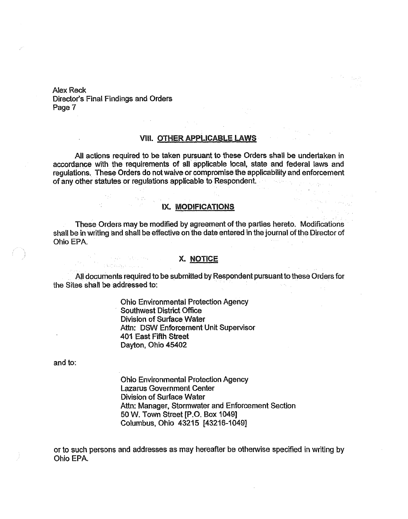i Tanzania<br>1970 - Papa Barat III

 $\mathbb{R}^2_+$ 

 $\Delta \sim 10^{11}$ 

# **VIII. OTHER APPLICABLE LAWS**

 $\tau = \tau_{\rm eff}$  ,  $\tau_{\rm eff}$ 

All actions required to be taken pursuant to these Orders shall be undertaken in accordance with the requirements of all applicable local, state and federal laws and regulations. These Orders do not waive or compromise the applicability and enforcement of any other statutes or regulations applicable to Respondent.. .

# IX. MODIFICATIONS

 $\mathbf{G}_{\mathbf{v}}$  ,  $\mathbf{v}$ 

These Orders may be modified by agreement of the parties hereto. Modifications shall be in writing and shall be effective on the date entered in the journal of the Director of Ohio EPA.

# **X. NOTICE**

All documents required to be submitted by Respondent pursuant to these Orders for the Sites shall be addressed to:

> Ohio Environmental Protection Agency Southwest District Office Division of Surface. Water Attn: DSW Enforcement Unit Supervisor 401 East Fifth Street Dayton, Ohio 45402

and to:

Ohio Environmental Protection Agency Lazarus Government Center Division of Surface Water Attn: Manager, Stormwater and Enforcement Section **50 W. Town Street [P.O. Box 10491** Columbus, Ohio 43215 [43216-1049]

or to such persons and addresses as may hereafter be otherwise specified in writing by Ohio EPA.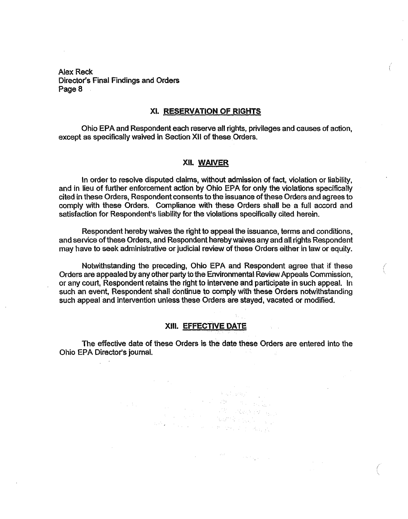#### **XL RESERVATION OF RIGHTS**

Ohio EPA and Respondent each reserve all rights, privileges and causes of action, except as specifically waived in Section Xli of these Orders.

#### Xli **WAIVER**

In order to resolve disputed claims, without admission of fact, violation or liability, and in lieu of further enforcement action by Ohio EPA for only the violations specifically cited in these Orders, Respondent consents to the issuance of these Orders and agrees to comply with these Orders. Compliance with these Orders shall be a full accord and satisfaction for Respondent's liability for the violations specifically cited herein.

Respondent hereby waives the right to appeal the issuance, terms and conditions, and service of these Orders, and Respondent hereby waives any and all rights Respondent may have to seek administrative or judicial review of these Orders either in law or equity.

Notwithstanding the preceding, Ohio EPA and Respondent agree that it these Orders are appealed by any other party to the Environmental Review Appeals Commission, or any court, Respondent retains the right to intervene and participate in such appeal. In such an event, Respondent shall continue to comply with these Orders notwithstanding such appeal and intervention unless these Orders are stayed, vacated or modified.

#### **XII1. EFFECTIVE DATE**

The effective date of these Orders is the date these Orders are entered into the Ohio EPA Director's journal.

والتواصل المعاديات

in in Australia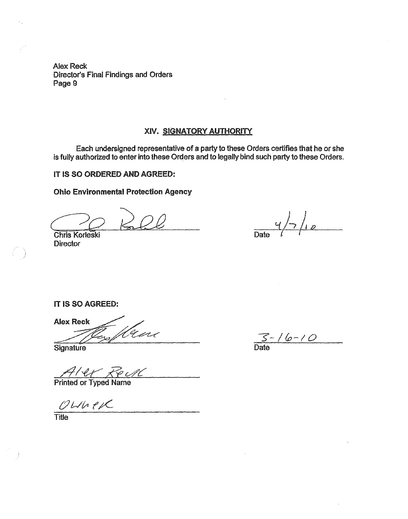# XIV. SIGNATORY AUTHORITY

Each undersigned representative of a party to these Orders certifies that he or she is fully authorized to enter into these Orders and to legally bind such party to these Orders.

IT IS SO ORDERED AND AGREED:

Ohio Environmental Protection Agency

Chris Korleski Date

**Director** 

 $\frac{q}{\text{Date}}$  /  $\frac{q}{\sqrt{2}}$ 

IT IS SO AGREED:

Alex Reck Wene /روسی

**Signature** 

A/ et Reull

 $OMN e 1 C Time$ </u>

 $\frac{C}{\text{Date}}$